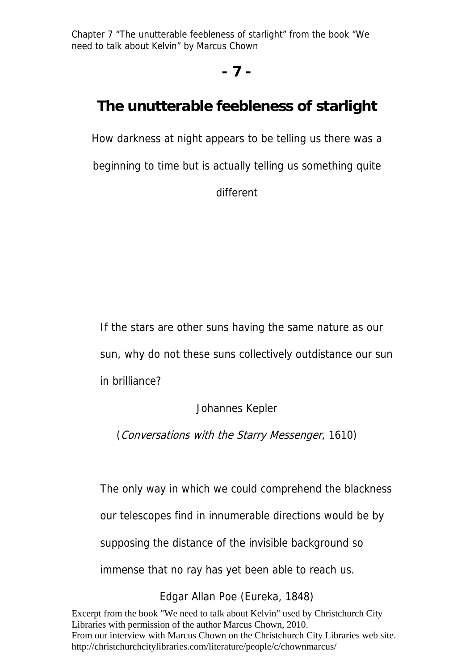## **- 7 -**

## **The unutterable feebleness of starlight**

How darkness at night appears to be telling us there was a beginning to time but is actually telling us something quite different

If the stars are other suns having the same nature as our sun, why do not these suns collectively outdistance our sun in brilliance?

Johannes Kepler

(Conversations with the Starry Messenger, 1610)

The only way in which we could comprehend the blackness our telescopes find in innumerable directions would be by supposing the distance of the invisible background so immense that no ray has yet been able to reach us.

Edgar Allan Poe (Eureka, 1848)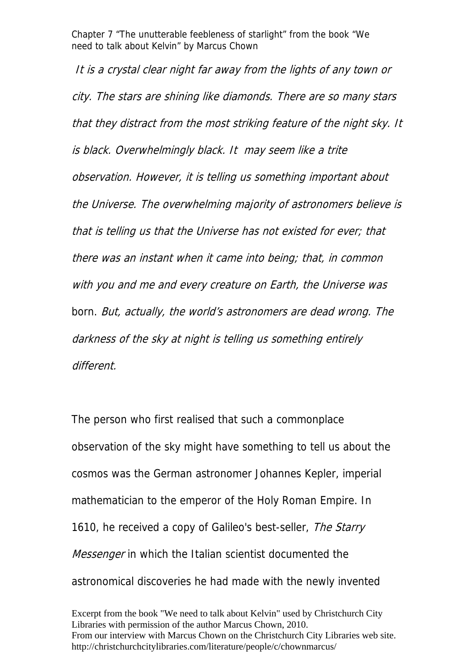It is a crystal clear night far away from the lights of any town or city. The stars are shining like diamonds. There are so many stars that they distract from the most striking feature of the night sky. It is black. Overwhelmingly black. It may seem like a trite observation. However, it is telling us something important about the Universe. The overwhelming majority of astronomers believe is that is telling us that the Universe has not existed for ever; that there was an instant when it came into being; that, in common with you and me and every creature on Earth, the Universe was born. But, actually, the world's astronomers are dead wrong. The darkness of the sky at night is telling us something entirely different.

The person who first realised that such a commonplace observation of the sky might have something to tell us about the cosmos was the German astronomer Johannes Kepler, imperial mathematician to the emperor of the Holy Roman Empire. In 1610, he received a copy of Galileo's best-seller, The Starry *Messenger* in which the Italian scientist documented the astronomical discoveries he had made with the newly invented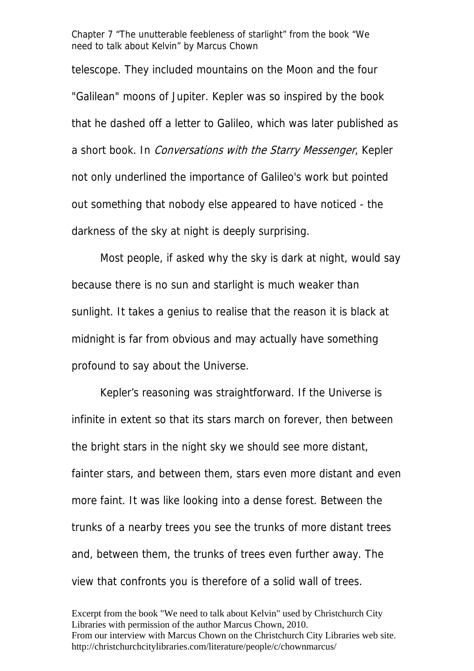telescope. They included mountains on the Moon and the four "Galilean" moons of Jupiter. Kepler was so inspired by the book that he dashed off a letter to Galileo, which was later published as a short book. In Conversations with the Starry Messenger, Kepler not only underlined the importance of Galileo's work but pointed out something that nobody else appeared to have noticed - the darkness of the sky at night is deeply surprising.

 Most people, if asked why the sky is dark at night, would say because there is no sun and starlight is much weaker than sunlight. It takes a genius to realise that the reason it is black at midnight is far from obvious and may actually have something profound to say about the Universe.

 Kepler's reasoning was straightforward. If the Universe is infinite in extent so that its stars march on forever, then between the bright stars in the night sky we should see more distant, fainter stars, and between them, stars even more distant and even more faint. It was like looking into a dense forest. Between the trunks of a nearby trees you see the trunks of more distant trees and, between them, the trunks of trees even further away. The view that confronts you is therefore of a solid wall of trees.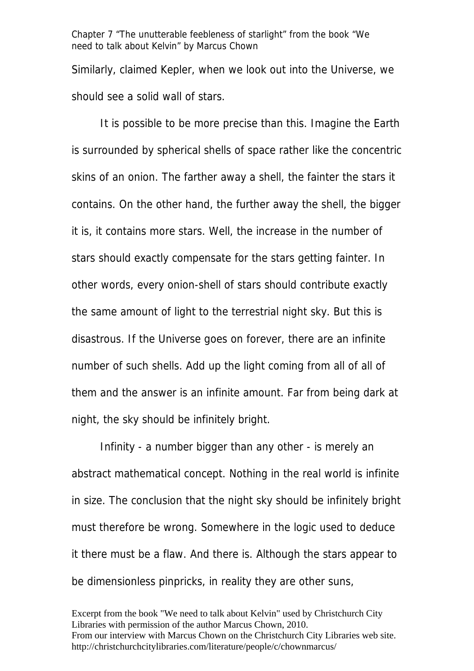Similarly, claimed Kepler, when we look out into the Universe, we should see a solid wall of stars.

 It is possible to be more precise than this. Imagine the Earth is surrounded by spherical shells of space rather like the concentric skins of an onion. The farther away a shell, the fainter the stars it contains. On the other hand, the further away the shell, the bigger it is, it contains more stars. Well, the increase in the number of stars should exactly compensate for the stars getting fainter. In other words, every onion-shell of stars should contribute exactly the same amount of light to the terrestrial night sky. But this is disastrous. If the Universe goes on forever, there are an infinite number of such shells. Add up the light coming from all of all of them and the answer is an infinite amount. Far from being dark at night, the sky should be infinitely bright.

 Infinity - a number bigger than any other - is merely an abstract mathematical concept. Nothing in the real world is infinite in size. The conclusion that the night sky should be infinitely bright must therefore be wrong. Somewhere in the logic used to deduce it there must be a flaw. And there is. Although the stars appear to be dimensionless pinpricks, in reality they are other suns,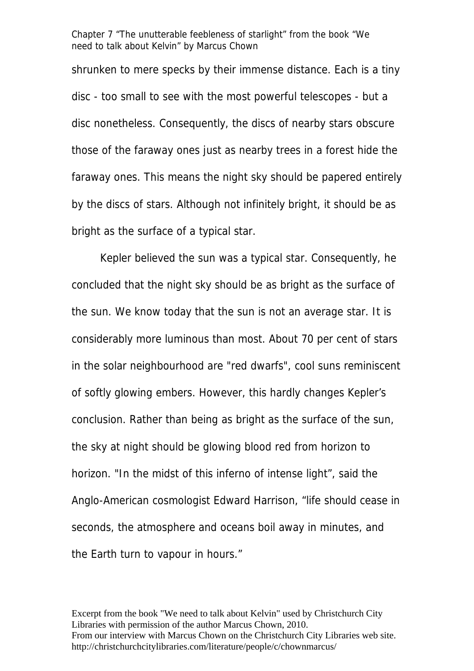shrunken to mere specks by their immense distance. Each is a tiny disc - too small to see with the most powerful telescopes - but a disc nonetheless. Consequently, the discs of nearby stars obscure those of the faraway ones just as nearby trees in a forest hide the faraway ones. This means the night sky should be papered entirely by the discs of stars. Although not infinitely bright, it should be as bright as the surface of a typical star.

 Kepler believed the sun was a typical star. Consequently, he concluded that the night sky should be as bright as the surface of the sun. We know today that the sun is not an average star. It is considerably more luminous than most. About 70 per cent of stars in the solar neighbourhood are "red dwarfs", cool suns reminiscent of softly glowing embers. However, this hardly changes Kepler's conclusion. Rather than being as bright as the surface of the sun, the sky at night should be glowing blood red from horizon to horizon. "In the midst of this inferno of intense light", said the Anglo-American cosmologist Edward Harrison, "life should cease in seconds, the atmosphere and oceans boil away in minutes, and the Earth turn to vapour in hours."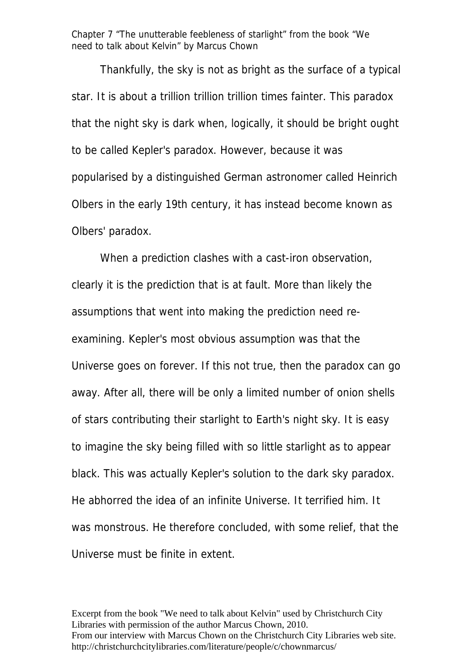Thankfully, the sky is not as bright as the surface of a typical star. It is about a trillion trillion trillion times fainter. This paradox that the night sky is dark when, logically, it should be bright ought to be called Kepler's paradox. However, because it was popularised by a distinguished German astronomer called Heinrich Olbers in the early 19th century, it has instead become known as Olbers' paradox.

When a prediction clashes with a cast-iron observation, clearly it is the prediction that is at fault. More than likely the assumptions that went into making the prediction need reexamining. Kepler's most obvious assumption was that the Universe goes on forever. If this not true, then the paradox can go away. After all, there will be only a limited number of onion shells of stars contributing their starlight to Earth's night sky. It is easy to imagine the sky being filled with so little starlight as to appear black. This was actually Kepler's solution to the dark sky paradox. He abhorred the idea of an infinite Universe. It terrified him. It was monstrous. He therefore concluded, with some relief, that the Universe must be finite in extent.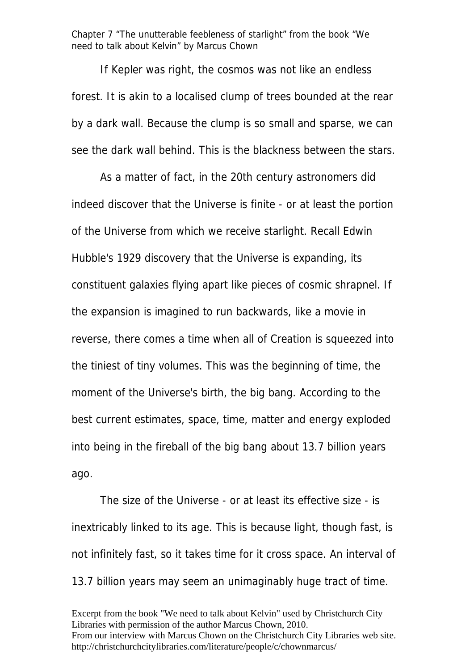If Kepler was right, the cosmos was not like an endless forest. It is akin to a localised clump of trees bounded at the rear by a dark wall. Because the clump is so small and sparse, we can see the dark wall behind. This is the blackness between the stars.

 As a matter of fact, in the 20th century astronomers did indeed discover that the Universe is finite - or at least the portion of the Universe from which we receive starlight. Recall Edwin Hubble's 1929 discovery that the Universe is expanding, its constituent galaxies flying apart like pieces of cosmic shrapnel. If the expansion is imagined to run backwards, like a movie in reverse, there comes a time when all of Creation is squeezed into the tiniest of tiny volumes. This was the beginning of time, the moment of the Universe's birth, the big bang. According to the best current estimates, space, time, matter and energy exploded into being in the fireball of the big bang about 13.7 billion years ago.

 The size of the Universe - or at least its effective size - is inextricably linked to its age. This is because light, though fast, is not infinitely fast, so it takes time for it cross space. An interval of 13.7 billion years may seem an unimaginably huge tract of time.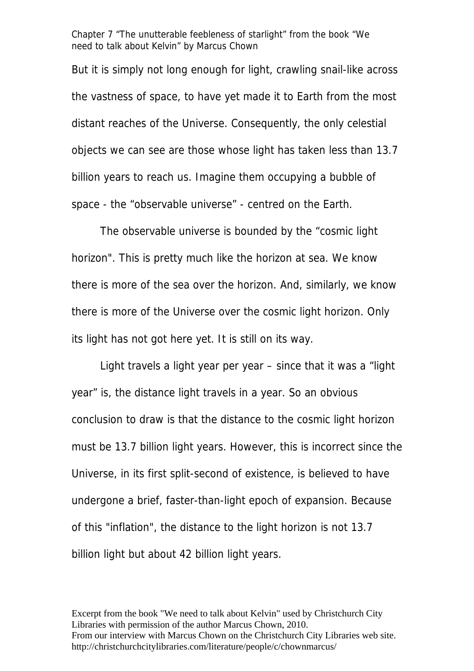But it is simply not long enough for light, crawling snail-like across the vastness of space, to have yet made it to Earth from the most distant reaches of the Universe. Consequently, the only celestial objects we can see are those whose light has taken less than 13.7 billion years to reach us. Imagine them occupying a bubble of space - the "observable universe" - centred on the Earth.

The observable universe is bounded by the "cosmic light horizon". This is pretty much like the horizon at sea. We know there is more of the sea over the horizon. And, similarly, we know there is more of the Universe over the cosmic light horizon. Only its light has not got here yet. It is still on its way.

 Light travels a light year per year – since that it was a "light year" is, the distance light travels in a year. So an obvious conclusion to draw is that the distance to the cosmic light horizon must be 13.7 billion light years. However, this is incorrect since the Universe, in its first split-second of existence, is believed to have undergone a brief, faster-than-light epoch of expansion. Because of this "inflation", the distance to the light horizon is not 13.7 billion light but about 42 billion light years.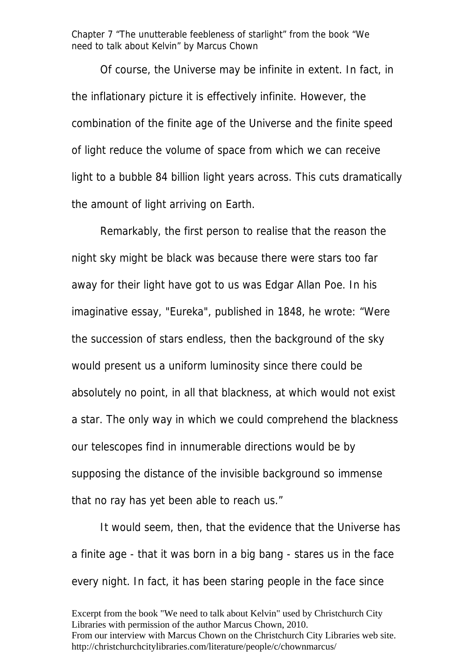Of course, the Universe may be infinite in extent. In fact, in the inflationary picture it is effectively infinite. However, the combination of the finite age of the Universe and the finite speed of light reduce the volume of space from which we can receive light to a bubble 84 billion light years across. This cuts dramatically the amount of light arriving on Earth.

Remarkably, the first person to realise that the reason the night sky might be black was because there were stars too far away for their light have got to us was Edgar Allan Poe. In his imaginative essay, "Eureka", published in 1848, he wrote: "Were the succession of stars endless, then the background of the sky would present us a uniform luminosity since there could be absolutely no point, in all that blackness, at which would not exist a star. The only way in which we could comprehend the blackness our telescopes find in innumerable directions would be by supposing the distance of the invisible background so immense that no ray has yet been able to reach us."

 It would seem, then, that the evidence that the Universe has a finite age - that it was born in a big bang - stares us in the face every night. In fact, it has been staring people in the face since